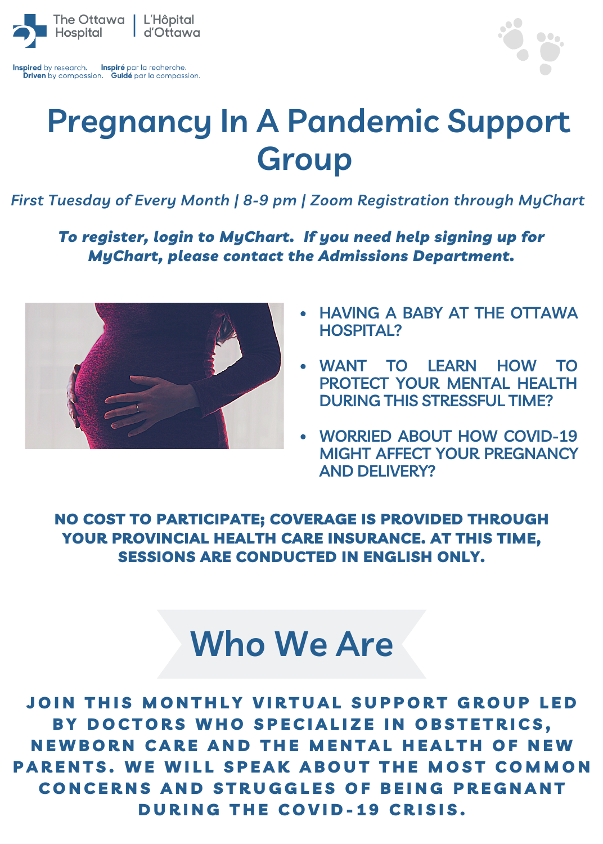

Inspired by research. Inspiré par la recherche Driven by compassion. Guidé par la compassion.



## **Pregnancy In A Pandemic Support Group**

*First Tuesday of Every Month | 8-9 pm | Zoom Registration through MyChart*

*To register, login to MyChart. If you need help signing up for MyChart, please contact the Admissions Department.*



- **HAVING A BABY AT THE OTTAWA HOSPITAL?**
- **WANT TO LEARN HOW TO**  $\bullet$ **PROTECT YOUR MENTAL HEALTH DURING THIS STRESSFUL TIME?**
- **WORRIED ABOUT HOW COVID-19 MIGHT AFFECT YOUR PREGNANCY AND DELIVERY?**

NO COST TO PARTICIPATE; COVERAGE IS PROVIDED THROUGH YOUR PROVINCIAL HEALTH CARE INSURANCE. AT THIS TIME, SESSIONS ARE CONDUCTED IN ENGLISH ONLY.

## **Who We Are**

JOIN THIS MONTHLY VIRTUAL SUPPORT GROUP LED BY DOCTORS WHO SPECIALIZE IN OBSTETRICS. NEWBORN CARE AND THE MENTAL HEALTH OF NEW PARENTS. WE WILL SPEAK ABOUT THE MOST COMMON CONCERNS AND STRUGGLES OF BEING PREGNANT DURING THE COVID-19 CRISIS.